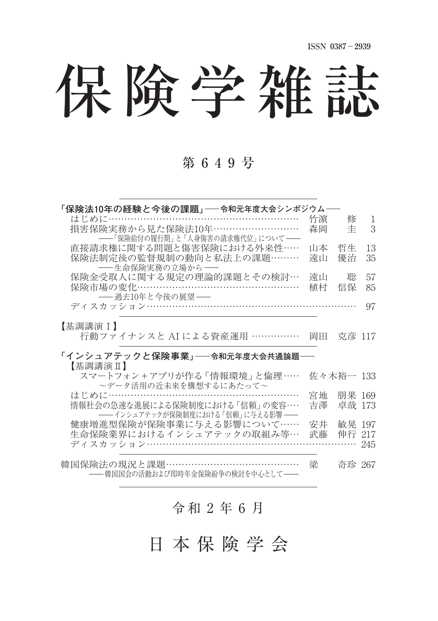保険学雑誌

#### 第 6 4 9 号

| 「保険法10年の経験と今後の課題」――令和元年度大会シンポジウム―― |    |           |     |
|------------------------------------|----|-----------|-----|
| はじめに………………………………………………             | 竹濵 | 修         | 1   |
| 損害保険実務から見た保険法10年………………………          | 森岡 | 圭         | 3   |
| ――「保険給付の履行期」と「人身傷害の請求権代位」について――    |    |           |     |
| 直接請求権に関する問題と傷害保険における外来性……          | 山本 | 哲生        | 13  |
| 保険法制定後の監督規制の動向と私法上の課題………           | 遠山 | 優治        | 35  |
| ――生命保険実務の立場から――                    |    |           |     |
| 保険金受取人に関する規定の理論的課題とその検討…           | 遠山 | 聡         | 57  |
| 保険市場の変化…………………………                  | 植村 | 信保        | 85  |
| ―― 過去10年と今後の展望――                   |    |           |     |
| ディスカッション……………………………………………………       |    |           | 97  |
|                                    |    |           |     |
| 【基調講演Ⅰ】                            |    |           |     |
| 行動ファイナンスと AI による資産運用 ……………         | 岡田 | 克彦 117    |     |
|                                    |    |           |     |
|                                    |    |           |     |
| 「インシュアテックと保険事業」──令和元年度大会共通論題──     |    |           |     |
| 【基調講演Ⅱ】                            |    |           |     |
| スマートフォン+アプリが作る 「情報環境 」と倫理……        |    | 佐々木裕一 133 |     |
| ~データ活用の近未来を構想するにあたって~              |    |           |     |
| はじめに…………………………………………………            | 宮地 | 朋果 169    |     |
| 情報社会の急速な進展による保険制度における 「信頼」 の変容….   | 吉澤 | 卓哉 173    |     |
| ―― インシュアテックが保険制度における 「信頼」に与える影響 ―― |    |           |     |
| 健康増進型保険が保険事業に与える影響について……           | 安井 | 敏晃 197    |     |
| 生命保険業界におけるインシュアテックの取組み等…           | 武藤 | 伸行 217    |     |
| ディスカッション……………………                   |    |           | 245 |
|                                    |    |           |     |
| 韓国保険法の現況と課題 ……………………………………         | 梁  | 奇珍 267    |     |
| -韓国国会の活動および即時年金保険紛争の検討を中心として――     |    |           |     |

### $A$ 和  $2$  年  $6$  月

日 本 保 険 学 会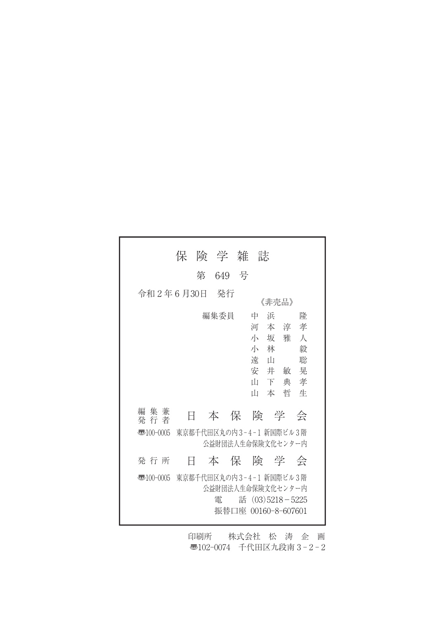|                        | 保 | 険 学 雑                |       | 誌                                                                                      |                                                          |  |
|------------------------|---|----------------------|-------|----------------------------------------------------------------------------------------|----------------------------------------------------------|--|
|                        |   | 第                    | 649 号 |                                                                                        |                                                          |  |
| 令和2年6月30日              |   | - 発行                 |       | 《非売品》                                                                                  |                                                          |  |
|                        |   | 編集委員                 |       | 中<br>浜<br>河<br>本<br>小<br>坂<br>小<br>林<br>遠<br>ா<br>安井敏<br>Ш<br>下<br>Ш<br>本              | 降<br>孝<br>淳<br>雅<br>人<br>毅<br>聡<br>晃<br>孝<br>典<br>哲<br>牛 |  |
| 集 兼<br>編<br>発 行 者      | Н | あんじょう 本の保 たいしゃ かいしょう |       | 険 学                                                                                    | 会                                                        |  |
| $\overline{3}100-0005$ |   |                      |       | 東京都千代田区丸の内3-4-1 新国際ビル3階<br>公益財団法人生命保険文化センター内                                           |                                                          |  |
| 発 行 所                  | Ħ |                      |       | 本保険学会                                                                                  |                                                          |  |
| $\overline{3}100-0005$ |   | 雷                    |       | 東京都千代田区丸の内3-4-1 新国際ビル3階<br>公益財団法人生命保険文化センター内<br>話 (03)5218-5225<br>振替口座 00160-8-607601 |                                                          |  |

印刷所 株式会社 松 涛 企 画 〠102-0074 千代田区九段南 3 - 2 - 2